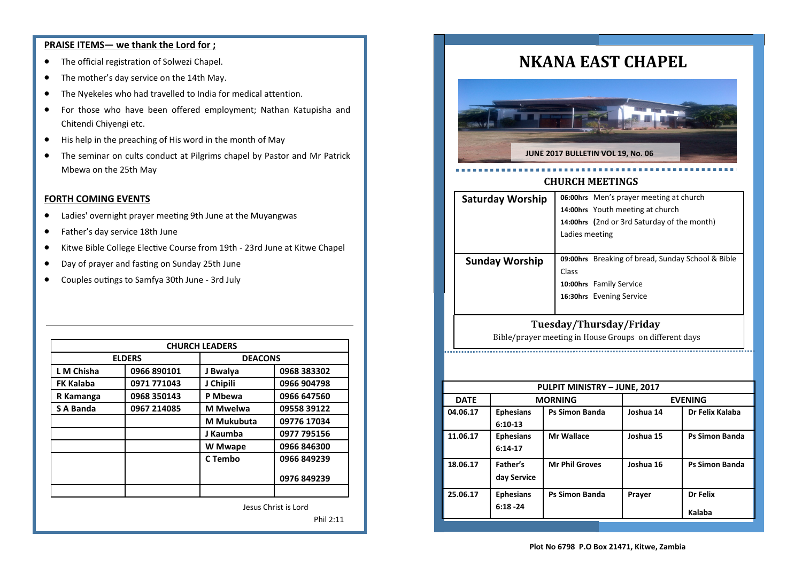# **PRAISE ITEMS— we thank the Lord for ;**

- The official registration of Solwezi Chapel.
- The mother's day service on the 14th May.
- The Nyekeles who had travelled to India for medical attention.
- For those who have been offered employment; Nathan Katupisha and Chitendi Chiyengi etc.
- His help in the preaching of His word in the month of May
- The seminar on cults conduct at Pilgrims chapel by Pastor and Mr Patrick Mbewa on the 25th May

# **FORTH COMING EVENTS**

- Ladies' overnight prayer meeting 9th June at the Muyangwas
- Father's day service 18th June
- Kitwe Bible College Elective Course from 19th 23rd June at Kitwe Chapel
- Day of prayer and fasting on Sunday 25th June
- Couples outings to Samfya 30th June 3rd July

| <b>CHURCH LEADERS</b> |             |                 |             |  |  |  |
|-----------------------|-------------|-----------------|-------------|--|--|--|
| <b>ELDERS</b>         |             | <b>DEACONS</b>  |             |  |  |  |
| L M Chisha            | 0966 890101 | J Bwalya        | 0968 383302 |  |  |  |
| <b>FK Kalaba</b>      | 0971 771043 | J Chipili       | 0966 904798 |  |  |  |
| R Kamanga             | 0968 350143 | P Mbewa         | 0966 647560 |  |  |  |
| <b>S A Banda</b>      | 0967 214085 | <b>M</b> Mwelwa | 09558 39122 |  |  |  |
|                       |             | M Mukubuta      | 09776 17034 |  |  |  |
|                       |             | J Kaumba        | 0977 795156 |  |  |  |
|                       |             | W Mwape         | 0966 846300 |  |  |  |
|                       |             | C Tembo         | 0966 849239 |  |  |  |
|                       |             |                 | 0976 849239 |  |  |  |
|                       |             |                 |             |  |  |  |
| Jesus Christ is Lord  |             |                 |             |  |  |  |

Phil 2:11

# **NKANA EAST CHAPEL**



# **CHURCH MEETINGS**

| <b>Saturday Worship</b> |                                  | 06:00hrs Men's prayer meeting at church           |  |  |
|-------------------------|----------------------------------|---------------------------------------------------|--|--|
|                         | 14:00hrs Youth meeting at church |                                                   |  |  |
|                         |                                  | 14:00hrs (2nd or 3rd Saturday of the month)       |  |  |
|                         | Ladies meeting                   |                                                   |  |  |
|                         |                                  |                                                   |  |  |
| <b>Sunday Worship</b>   |                                  | 09:00hrs Breaking of bread, Sunday School & Bible |  |  |
|                         | Class                            |                                                   |  |  |
|                         |                                  | 10:00hrs Family Service                           |  |  |
|                         |                                  | 16:30hrs Evening Service                          |  |  |
|                         |                                  |                                                   |  |  |
| Tuesday/Thursday/Friday |                                  |                                                   |  |  |

Bible/prayer meeting in House Groups on different days

| PULPIT MINISTRY - JUNE, 2017 |                                 |                       |                |                       |  |  |
|------------------------------|---------------------------------|-----------------------|----------------|-----------------------|--|--|
| <b>DATE</b>                  | <b>MORNING</b>                  |                       | <b>EVENING</b> |                       |  |  |
| 04.06.17                     | <b>Ephesians</b><br>$6:10-13$   | <b>Ps Simon Banda</b> | Joshua 14      | Dr Felix Kalaba       |  |  |
| 11.06.17                     | <b>Ephesians</b><br>$6:14-17$   | <b>Mr Wallace</b>     | Joshua 15      | <b>Ps Simon Banda</b> |  |  |
| 18.06.17                     | Father's<br>day Service         | <b>Mr Phil Groves</b> | Joshua 16      | <b>Ps Simon Banda</b> |  |  |
| 25.06.17                     | <b>Ephesians</b><br>$6:18 - 24$ | <b>Ps Simon Banda</b> | Prayer         | Dr Felix<br>Kalaba    |  |  |